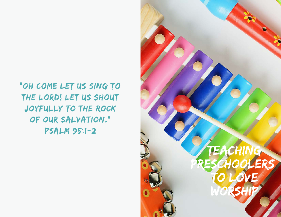"OH COME LET US SING TO the Lord! Let us shout joyfully to the Rock of our Salvation." Psalm 95:1-2 :